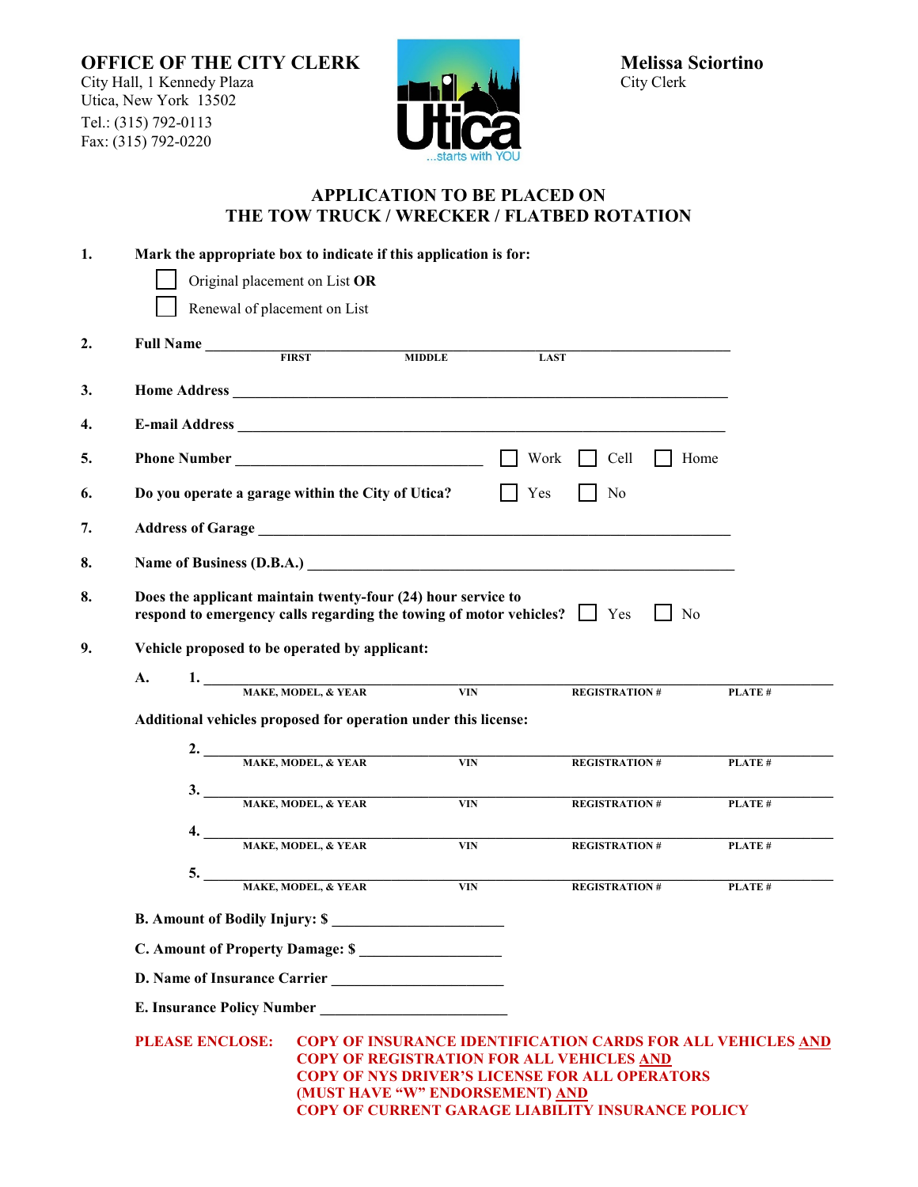**OFFICE OF THE CITY CLERK** Melissa Sciortino<br>
City Hall, 1 Kennedy Plaza delayers and the Melissa Sciortino City Hall, 1 Kennedy Plaza Utica, New York 13502 Tel.: (315) 792-0113 Fax:  $(315)$  792-0220



## **APPLICATION TO BE PLACED ON THE TOW TRUCK / WRECKER / FLATBED ROTATION**

| 1. | Mark the appropriate box to indicate if this application is for:                                                                                                                                                                                                                                  |                                                                                                                                               |               |                             |        |  |
|----|---------------------------------------------------------------------------------------------------------------------------------------------------------------------------------------------------------------------------------------------------------------------------------------------------|-----------------------------------------------------------------------------------------------------------------------------------------------|---------------|-----------------------------|--------|--|
|    | Original placement on List OR                                                                                                                                                                                                                                                                     |                                                                                                                                               |               |                             |        |  |
|    |                                                                                                                                                                                                                                                                                                   | Renewal of placement on List                                                                                                                  |               |                             |        |  |
| 2. |                                                                                                                                                                                                                                                                                                   | Full Name                                                                                                                                     | <b>MIDDLE</b> | <b>LAST</b>                 |        |  |
| 3. |                                                                                                                                                                                                                                                                                                   |                                                                                                                                               |               |                             |        |  |
| 4. |                                                                                                                                                                                                                                                                                                   |                                                                                                                                               |               |                             |        |  |
| 5. |                                                                                                                                                                                                                                                                                                   |                                                                                                                                               | $\Box$        | Work $\Box$<br>Cell<br>Home |        |  |
| 6. |                                                                                                                                                                                                                                                                                                   | Do you operate a garage within the City of Utica?                                                                                             |               | Yes<br>No                   |        |  |
| 7. |                                                                                                                                                                                                                                                                                                   |                                                                                                                                               |               |                             |        |  |
| 8. |                                                                                                                                                                                                                                                                                                   |                                                                                                                                               |               |                             |        |  |
| 8. |                                                                                                                                                                                                                                                                                                   | Does the applicant maintain twenty-four (24) hour service to<br>respond to emergency calls regarding the towing of motor vehicles? $\Box$ Yes |               | $\vert$   No                |        |  |
| 9. | Vehicle proposed to be operated by applicant:                                                                                                                                                                                                                                                     |                                                                                                                                               |               |                             |        |  |
|    | A.                                                                                                                                                                                                                                                                                                | 1. MAKE, MODEL, & YEAR                                                                                                                        |               |                             |        |  |
|    |                                                                                                                                                                                                                                                                                                   |                                                                                                                                               | <b>VIN</b>    | <b>REGISTRATION#</b>        | PLATE# |  |
|    | Additional vehicles proposed for operation under this license:                                                                                                                                                                                                                                    |                                                                                                                                               |               |                             |        |  |
|    |                                                                                                                                                                                                                                                                                                   | 2. MAKE, MODEL, & YEAR                                                                                                                        | <b>VIN</b>    | <b>REGISTRATION#</b>        | PLATE# |  |
|    |                                                                                                                                                                                                                                                                                                   | 3. MAKE, MODEL, & YEAR                                                                                                                        | <b>VIN</b>    | <b>REGISTRATION#</b>        | PLATE# |  |
|    |                                                                                                                                                                                                                                                                                                   |                                                                                                                                               |               |                             |        |  |
|    |                                                                                                                                                                                                                                                                                                   | 4. MAKE, MODEL, & YEAR                                                                                                                        | VIN           | <b>REGISTRATION#</b>        | PLATE# |  |
|    |                                                                                                                                                                                                                                                                                                   | 5. MAKE, MODEL, & YEAR                                                                                                                        | <b>VIN</b>    | <b>REGISTRATION#</b>        | PLATE# |  |
|    | B. Amount of Bodily Injury: \$                                                                                                                                                                                                                                                                    |                                                                                                                                               |               |                             |        |  |
|    | C. Amount of Property Damage: \$                                                                                                                                                                                                                                                                  |                                                                                                                                               |               |                             |        |  |
|    |                                                                                                                                                                                                                                                                                                   |                                                                                                                                               |               |                             |        |  |
|    | E. Insurance Policy Number                                                                                                                                                                                                                                                                        |                                                                                                                                               |               |                             |        |  |
|    | <b>PLEASE ENCLOSE:</b><br>COPY OF INSURANCE IDENTIFICATION CARDS FOR ALL VEHICLES AND<br><b>COPY OF REGISTRATION FOR ALL VEHICLES AND</b><br><b>COPY OF NYS DRIVER'S LICENSE FOR ALL OPERATORS</b><br>(MUST HAVE "W" ENDORSEMENT) AND<br><b>COPY OF CURRENT GARAGE LIABILITY INSURANCE POLICY</b> |                                                                                                                                               |               |                             |        |  |